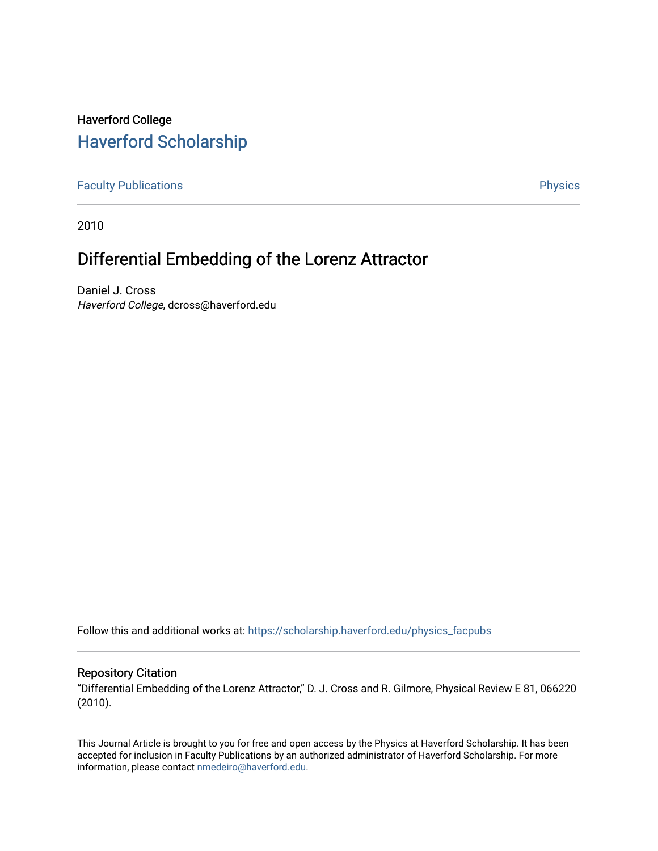# Haverford College [Haverford Scholarship](https://scholarship.haverford.edu/)

[Faculty Publications](https://scholarship.haverford.edu/physics_facpubs) **Physics** 

2010

# Differential Embedding of the Lorenz Attractor

Daniel J. Cross Haverford College, dcross@haverford.edu

Follow this and additional works at: [https://scholarship.haverford.edu/physics\\_facpubs](https://scholarship.haverford.edu/physics_facpubs?utm_source=scholarship.haverford.edu%2Fphysics_facpubs%2F335&utm_medium=PDF&utm_campaign=PDFCoverPages) 

# Repository Citation

"Differential Embedding of the Lorenz Attractor," D. J. Cross and R. Gilmore, Physical Review E 81, 066220 (2010).

This Journal Article is brought to you for free and open access by the Physics at Haverford Scholarship. It has been accepted for inclusion in Faculty Publications by an authorized administrator of Haverford Scholarship. For more information, please contact [nmedeiro@haverford.edu.](mailto:nmedeiro@haverford.edu)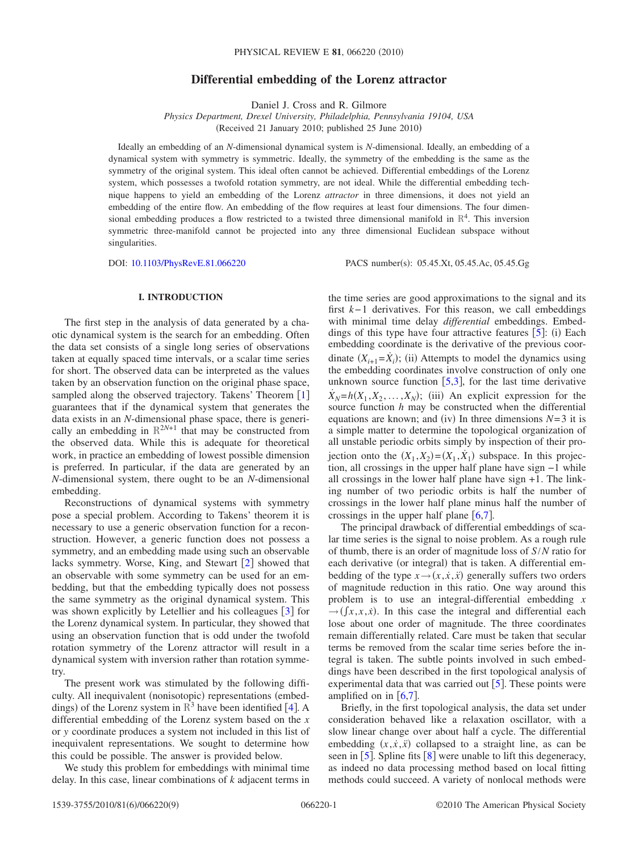# **Differential embedding of the Lorenz attractor**

Daniel J. Cross and R. Gilmore

*Physics Department, Drexel University, Philadelphia, Pennsylvania 19104, USA* (Received 21 January 2010; published 25 June 2010)

Ideally an embedding of an *N*-dimensional dynamical system is *N*-dimensional. Ideally, an embedding of a dynamical system with symmetry is symmetric. Ideally, the symmetry of the embedding is the same as the symmetry of the original system. This ideal often cannot be achieved. Differential embeddings of the Lorenz system, which possesses a twofold rotation symmetry, are not ideal. While the differential embedding technique happens to yield an embedding of the Lorenz *attractor* in three dimensions, it does not yield an embedding of the entire flow. An embedding of the flow requires at least four dimensions. The four dimensional embedding produces a flow restricted to a twisted three dimensional manifold in  $\mathbb{R}^4$ . This inversion symmetric three-manifold cannot be projected into any three dimensional Euclidean subspace without singularities.

DOI: [10.1103/PhysRevE.81.066220](http://dx.doi.org/10.1103/PhysRevE.81.066220)

PACS number(s): 05.45.Xt, 05.45.Ac, 05.45.Gg

# **I. INTRODUCTION**

The first step in the analysis of data generated by a chaotic dynamical system is the search for an embedding. Often the data set consists of a single long series of observations taken at equally spaced time intervals, or a scalar time series for short. The observed data can be interpreted as the values taken by an observation function on the original phase space, sampled along the observed trajectory. Takens' Theorem  $\lceil 1 \rceil$  $\lceil 1 \rceil$  $\lceil 1 \rceil$ guarantees that if the dynamical system that generates the data exists in an *N*-dimensional phase space, there is generically an embedding in  $\mathbb{R}^{2N+1}$  that may be constructed from the observed data. While this is adequate for theoretical work, in practice an embedding of lowest possible dimension is preferred. In particular, if the data are generated by an *N*-dimensional system, there ought to be an *N*-dimensional embedding.

Reconstructions of dynamical systems with symmetry pose a special problem. According to Takens' theorem it is necessary to use a generic observation function for a reconstruction. However, a generic function does not possess a symmetry, and an embedding made using such an observable lacks symmetry. Worse, King, and Stewart  $[2]$  $[2]$  $[2]$  showed that an observable with some symmetry can be used for an embedding, but that the embedding typically does not possess the same symmetry as the original dynamical system. This was shown explicitly by Letellier and his colleagues  $\lceil 3 \rceil$  $\lceil 3 \rceil$  $\lceil 3 \rceil$  for the Lorenz dynamical system. In particular, they showed that using an observation function that is odd under the twofold rotation symmetry of the Lorenz attractor will result in a dynamical system with inversion rather than rotation symmetry.

The present work was stimulated by the following difficulty. All inequivalent (nonisotopic) representations (embeddings) of the Lorenz system in  $\mathbb{R}^3$  have been identified [[4](#page-8-3)]. A differential embedding of the Lorenz system based on the *x* or *y* coordinate produces a system not included in this list of inequivalent representations. We sought to determine how this could be possible. The answer is provided below.

We study this problem for embeddings with minimal time delay. In this case, linear combinations of *k* adjacent terms in the time series are good approximations to the signal and its first *k*− 1 derivatives. For this reason, we call embeddings with minimal time delay *differential* embeddings. Embeddings of this type have four attractive features  $[5]$  $[5]$  $[5]$ : (i) Each embedding coordinate is the derivative of the previous coordinate  $(X_{i+1} = \dot{X}_i)$ ; (ii) Attempts to model the dynamics using the embedding coordinates involve construction of only one unknown source function  $[5,3]$  $[5,3]$  $[5,3]$  $[5,3]$ , for the last time derivative  $\dot{X}_N = h(X_1, X_2, \dots, X_N)$ ; (iii) An explicit expression for the source function *h* may be constructed when the differential equations are known; and (iv) In three dimensions  $N=3$  it is a simple matter to determine the topological organization of all unstable periodic orbits simply by inspection of their projection onto the  $(X_1, X_2) = (X_1, X_1)$  subspace. In this projection, all crossings in the upper half plane have sign −1 while all crossings in the lower half plane have sign +1. The linking number of two periodic orbits is half the number of crossings in the lower half plane minus half the number of crossings in the upper half plane  $[6,7]$  $[6,7]$  $[6,7]$  $[6,7]$ .

The principal drawback of differential embeddings of scalar time series is the signal to noise problem. As a rough rule of thumb, there is an order of magnitude loss of *S*/*N* ratio for each derivative (or integral) that is taken. A differential embedding of the type  $x \rightarrow (x, \dot{x}, \ddot{x})$  generally suffers two orders of magnitude reduction in this ratio. One way around this problem is to use an integral-differential embedding *x*  $\rightarrow$  ( $\int x$ , $x$ , $\dot{x}$ ). In this case the integral and differential each lose about one order of magnitude. The three coordinates remain differentially related. Care must be taken that secular terms be removed from the scalar time series before the integral is taken. The subtle points involved in such embeddings have been described in the first topological analysis of experimental data that was carried out  $[5]$  $[5]$  $[5]$ . These points were amplified on in  $[6,7]$  $[6,7]$  $[6,7]$  $[6,7]$ .

Briefly, in the first topological analysis, the data set under consideration behaved like a relaxation oscillator, with a slow linear change over about half a cycle. The differential embedding  $(x, \dot{x}, \ddot{x})$  collapsed to a straight line, as can be seen in  $\lceil 5 \rceil$  $\lceil 5 \rceil$  $\lceil 5 \rceil$ . Spline fits  $\lceil 8 \rceil$  $\lceil 8 \rceil$  $\lceil 8 \rceil$  were unable to lift this degeneracy, as indeed no data processing method based on local fitting methods could succeed. A variety of nonlocal methods were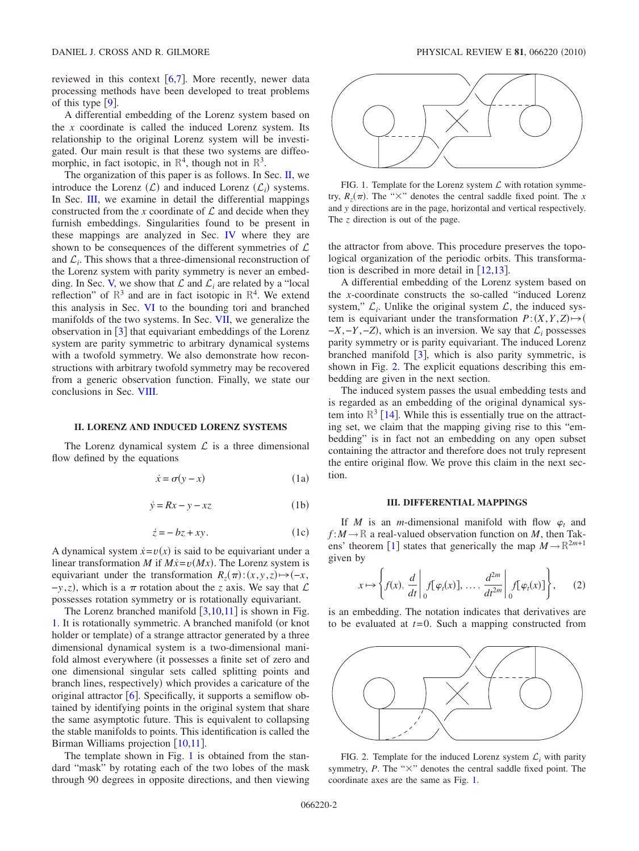reviewed in this context  $[6,7]$  $[6,7]$  $[6,7]$  $[6,7]$ . More recently, newer data processing methods have been developed to treat problems of this type  $[9]$  $[9]$  $[9]$ .

A differential embedding of the Lorenz system based on the *x* coordinate is called the induced Lorenz system. Its relationship to the original Lorenz system will be investigated. Our main result is that these two systems are diffeomorphic, in fact isotopic, in  $\mathbb{R}^4$ , though not in  $\mathbb{R}^3$ .

The organization of this paper is as follows. In Sec. [II,](#page-2-0) we introduce the Lorenz  $(L)$  and induced Lorenz  $(L_i)$  systems. In Sec. [III,](#page-2-1) we examine in detail the differential mappings constructed from the *x* coordinate of  $\mathcal L$  and decide when they furnish embeddings. Singularities found to be present in these mappings are analyzed in Sec. [IV](#page-4-0) where they are shown to be consequences of the different symmetries of  $\mathcal L$ and  $\mathcal{L}_i$ . This shows that a three-dimensional reconstruction of the Lorenz system with parity symmetry is never an embed-ding. In Sec. [V,](#page-4-1) we show that  $\mathcal L$  and  $\mathcal L_i$  are related by a "local reflection" of  $\mathbb{R}^3$  and are in fact isotopic in  $\mathbb{R}^4$ . We extend this analysis in Sec. [VI](#page-5-0) to the bounding tori and branched manifolds of the two systems. In Sec. [VII,](#page-6-0) we generalize the observation in  $\lceil 3 \rceil$  $\lceil 3 \rceil$  $\lceil 3 \rceil$  that equivariant embeddings of the Lorenz system are parity symmetric to arbitrary dynamical systems with a twofold symmetry. We also demonstrate how reconstructions with arbitrary twofold symmetry may be recovered from a generic observation function. Finally, we state our conclusions in Sec. [VIII.](#page-7-0)

## **II. LORENZ AND INDUCED LORENZ SYSTEMS**

<span id="page-2-0"></span>The Lorenz dynamical system  $\mathcal L$  is a three dimensional flow defined by the equations

$$
\dot{x} = \sigma(y - x) \tag{1a}
$$

$$
\dot{y} = Rx - y - xz \tag{1b}
$$

$$
\dot{z} = -bz + xy. \tag{1c}
$$

A dynamical system  $\dot{x} = v(x)$  is said to be equivariant under a linear transformation *M* if  $M\dot{x} = v(Mx)$ . The Lorenz system is equivariant under the transformation  $R_z(\pi): (x, y, z) \mapsto (-x, z, z)$  $-$ *y*,*z*), which is a  $\pi$  rotation about the *z* axis. We say that  $\mathcal{L}$ possesses rotation symmetry or is rotationally equivariant.

The Lorenz branched manifold  $\left[3,10,11\right]$  $\left[3,10,11\right]$  $\left[3,10,11\right]$  $\left[3,10,11\right]$  $\left[3,10,11\right]$  is shown in Fig. [1.](#page-2-2) It is rotationally symmetric. A branched manifold (or knot holder or template) of a strange attractor generated by a three dimensional dynamical system is a two-dimensional manifold almost everywhere (it possesses a finite set of zero and one dimensional singular sets called splitting points and branch lines, respectively) which provides a caricature of the original attractor  $[6]$  $[6]$  $[6]$ . Specifically, it supports a semiflow obtained by identifying points in the original system that share the same asymptotic future. This is equivalent to collapsing the stable manifolds to points. This identification is called the Birman Williams projection  $[10,11]$  $[10,11]$  $[10,11]$  $[10,11]$ .

The template shown in Fig. [1](#page-2-2) is obtained from the standard "mask" by rotating each of the two lobes of the mask through 90 degrees in opposite directions, and then viewing

<span id="page-2-2"></span>

FIG. 1. Template for the Lorenz system  $\mathcal L$  with rotation symmetry,  $R_z(\pi)$ . The " $\times$ " denotes the central saddle fixed point. The *x* and *y* directions are in the page, horizontal and vertical respectively. The *z* direction is out of the page.

the attractor from above. This procedure preserves the topological organization of the periodic orbits. This transformation is described in more detail in  $[12,13]$  $[12,13]$  $[12,13]$  $[12,13]$ .

A differential embedding of the Lorenz system based on the *x*-coordinate constructs the so-called "induced Lorenz system,"  $\mathcal{L}_i$ . Unlike the original system  $\mathcal{L}$ , the induced system is equivariant under the transformation  $P:(X, Y, Z) \rightarrow ($  $-X, -Y, -Z$ ), which is an inversion. We say that  $\mathcal{L}_i$  possesses parity symmetry or is parity equivariant. The induced Lorenz branched manifold  $\lceil 3 \rceil$  $\lceil 3 \rceil$  $\lceil 3 \rceil$ , which is also parity symmetric, is shown in Fig. [2.](#page-2-3) The explicit equations describing this embedding are given in the next section.

The induced system passes the usual embedding tests and is regarded as an embedding of the original dynamical system into  $\mathbb{R}^3$  [[14](#page-9-1)]. While this is essentially true on the attracting set, we claim that the mapping giving rise to this "embedding" is in fact not an embedding on any open subset containing the attractor and therefore does not truly represent the entire original flow. We prove this claim in the next section.

## **III. DIFFERENTIAL MAPPINGS**

<span id="page-2-1"></span>If *M* is an *m*-dimensional manifold with flow  $\varphi_t$  and  $f: M \to \mathbb{R}$  a real-valued observation function on *M*, then Tak-ens' theorem [[1](#page-8-0)] states that generically the map  $M \rightarrow \mathbb{R}^{2m+1}$ given by

$$
x \mapsto \left\{ f(x), \left. \frac{d}{dt} \right|_0 f[\varphi_t(x)], \dots, \left. \frac{d^{2m}}{dt^{2m}} \right|_0 f[\varphi_t(x)] \right\}, \qquad (2)
$$

is an embedding. The notation indicates that derivatives are to be evaluated at *t*= 0. Such a mapping constructed from

<span id="page-2-3"></span>

FIG. 2. Template for the induced Lorenz system  $\mathcal{L}_i$  with parity symmetry,  $P$ . The " $\times$ " denotes the central saddle fixed point. The coordinate axes are the same as Fig. [1.](#page-2-2)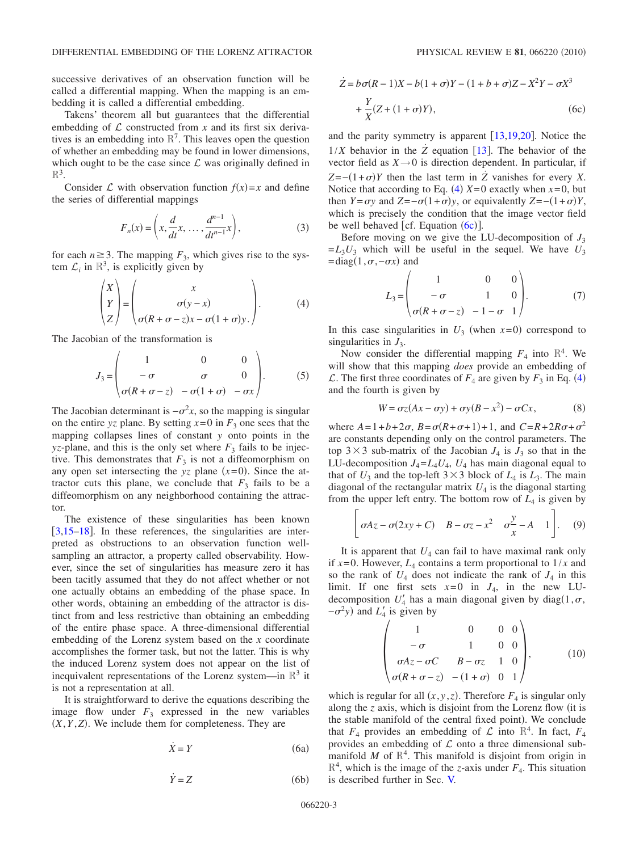successive derivatives of an observation function will be called a differential mapping. When the mapping is an embedding it is called a differential embedding.

Takens' theorem all but guarantees that the differential embedding of  $\mathcal L$  constructed from  $x$  and its first six derivatives is an embedding into  $\mathbb{R}^7$ . This leaves open the question of whether an embedding may be found in lower dimensions, which ought to be the case since  $\mathcal L$  was originally defined in  $\mathbb{R}^3$ .

Consider  $\mathcal L$  with observation function  $f(x)=x$  and define the series of differential mappings

$$
F_n(x) = \left(x, \frac{d}{dt}x, \dots, \frac{d^{n-1}}{dt^{n-1}}x\right),
$$
 (3)

<span id="page-3-0"></span>for each  $n \geq 3$ . The mapping  $F_3$ , which gives rise to the system  $\mathcal{L}_i$  in  $\mathbb{R}^3$ , is explicitly given by

$$
\begin{pmatrix} X \ Y \ Z \end{pmatrix} = \begin{pmatrix} x \ \sigma(y-x) \ \sigma(R+\sigma-z)x-\sigma(1+\sigma)y \end{pmatrix}.
$$
 (4)

The Jacobian of the transformation is

$$
J_3 = \begin{pmatrix} 1 & 0 & 0 \\ -\sigma & \sigma & 0 \\ \sigma(R + \sigma - z) & -\sigma(1 + \sigma) & -\sigma x \end{pmatrix}.
$$
 (5)

The Jacobian determinant is  $-\sigma^2 x$ , so the mapping is singular on the entire *yz* plane. By setting  $x=0$  in  $F_3$  one sees that the mapping collapses lines of constant *y* onto points in the *yz*-plane, and this is the only set where  $F_3$  fails to be injective. This demonstrates that  $F_3$  is not a diffeomorphism on any open set intersecting the  $yz$  plane  $(x=0)$ . Since the attractor cuts this plane, we conclude that  $F_3$  fails to be a diffeomorphism on any neighborhood containing the attractor.

The existence of these singularities has been known  $\left[3,15-18\right]$  $\left[3,15-18\right]$  $\left[3,15-18\right]$  $\left[3,15-18\right]$ . In these references, the singularities are interpreted as obstructions to an observation function wellsampling an attractor, a property called observability. However, since the set of singularities has measure zero it has been tacitly assumed that they do not affect whether or not one actually obtains an embedding of the phase space. In other words, obtaining an embedding of the attractor is distinct from and less restrictive than obtaining an embedding of the entire phase space. A three-dimensional differential embedding of the Lorenz system based on the *x* coordinate accomplishes the former task, but not the latter. This is why the induced Lorenz system does not appear on the list of inequivalent representations of the Lorenz system—in  $\mathbb{R}^3$  it is not a representation at all.

It is straightforward to derive the equations describing the image flow under  $F_3$  expressed in the new variables  $(X, Y, Z)$ . We include them for completeness. They are

$$
\dot{X} = Y \tag{6a}
$$

$$
\dot{Y} = Z \tag{6b}
$$

<span id="page-3-1"></span>
$$
\dot{Z} = b\sigma(R-1)X - b(1+\sigma)Y - (1+b+\sigma)Z - X^2Y - \sigma X^3
$$

$$
+ \frac{Y}{X}(Z + (1+\sigma)Y), \tag{6c}
$$

and the parity symmetry is apparent  $[13,19,20]$  $[13,19,20]$  $[13,19,20]$  $[13,19,20]$  $[13,19,20]$ . Notice the  $1/X$  behavior in the  $Z$  equation [[13](#page-9-0)]. The behavior of the vector field as  $X \rightarrow 0$  is direction dependent. In particular, if  $Z = -(1+\sigma)Y$  then the last term in  $Z$  vanishes for every *X*. Notice that according to Eq. ([4](#page-3-0))  $X=0$  exactly when  $x=0$ , but then *Y*= $\sigma y$  and *Z*=− $\sigma(1+\sigma)y$ , or equivalently *Z*=− $(1+\sigma)Y$ , which is precisely the condition that the image vector field be well behaved [cf. Equation  $(6c)$  $(6c)$  $(6c)$ ].

Before moving on we give the LU-decomposition of  $J_3$  $=L_3U_3$  which will be useful in the sequel. We have  $U_3$  $=$ diag $(1, \sigma, -\sigma x)$  and

$$
L_3 = \begin{pmatrix} 1 & 0 & 0 \\ -\sigma & 1 & 0 \\ \sigma(R + \sigma - z) & -1 - \sigma & 1 \end{pmatrix}.
$$
 (7)

In this case singularities in  $U_3$  (when  $x=0$ ) correspond to singularities in  $J_3$ .

Now consider the differential mapping  $F_4$  into  $\mathbb{R}^4$ . We will show that this mapping *does* provide an embedding of  $\mathcal{L}$ . The first three coordinates of  $F_4$  $F_4$  are given by  $F_3$  in Eq. (4) and the fourth is given by

$$
W = \sigma z (Ax - \sigma y) + \sigma y (B - x^2) - \sigma C x, \tag{8}
$$

<span id="page-3-2"></span>where  $A = 1 + b + 2\sigma$ ,  $B = \sigma(R + \sigma + 1) + 1$ , and  $C = R + 2R\sigma + \sigma^2$ are constants depending only on the control parameters. The top  $3 \times 3$  sub-matrix of the Jacobian  $J_4$  is  $J_3$  so that in the LU-decomposition  $J_4 = L_4 U_4$ ,  $U_4$  has main diagonal equal to that of  $U_3$  and the top-left  $3 \times 3$  block of  $L_4$  is  $L_3$ . The main diagonal of the rectangular matrix  $U_4$  is the diagonal starting from the upper left entry. The bottom row of  $L_4$  is given by

$$
\left[\sigma Az - \sigma(2xy + C) \quad B - \sigma z - x^2 \quad \sigma \frac{y}{x} - A \quad 1\right]. \tag{9}
$$

It is apparent that  $U_4$  can fail to have maximal rank only if  $x=0$ . However,  $L_4$  contains a term proportional to  $1/x$  and so the rank of  $U_4$  does not indicate the rank of  $J_4$  in this limit. If one first sets  $x=0$  in  $J_4$ , in the new LUdecomposition  $U'_4$  has a main diagonal given by diag(1, $\sigma$ ,  $-\sigma^2 y$ ) and  $L'_4$  is given by

$$
\begin{pmatrix}\n1 & 0 & 0 & 0 \\
-\sigma & 1 & 0 & 0 \\
\sigma Az - \sigma C & B - \sigma z & 1 & 0 \\
\sigma(R + \sigma - z) & -(1 + \sigma) & 0 & 1\n\end{pmatrix},\n\tag{10}
$$

which is regular for all  $(x, y, z)$ . Therefore  $F_4$  is singular only along the *z* axis, which is disjoint from the Lorenz flow (it is the stable manifold of the central fixed point). We conclude that  $F_4$  provides an embedding of  $\mathcal{L}$  into  $\mathbb{R}^4$ . In fact,  $F_4$ provides an embedding of  $\mathcal L$  onto a three dimensional submanifold  $M$  of  $\mathbb{R}^4$ . This manifold is disjoint from origin in  $\mathbb{R}^4$ , which is the image of the *z*-axis under  $F_4$ . This situation is described further in Sec. [V.](#page-4-1)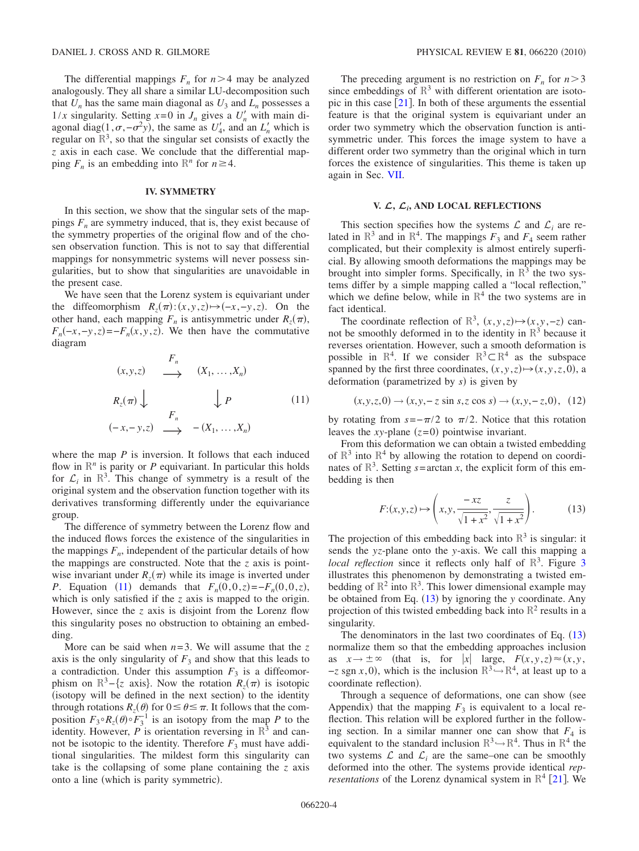The differential mappings  $F_n$  for  $n > 4$  may be analyzed analogously. They all share a similar LU-decomposition such that  $U_n$  has the same main diagonal as  $U_3$  and  $L_n$  possesses a  $1/x$  singularity. Setting  $x=0$  in  $J_n$  gives a  $U'_n$  with main diagonal diag(1, $\sigma$ , $-\sigma^2$ y), the same as *U*<sub>4</sub><sup>*l*</sup>, and an *L<sub>n</sub>*<sup>*l*</sup> which is regular on  $\mathbb{R}^3$ , so that the singular set consists of exactly the *z* axis in each case. We conclude that the differential mapping  $F_n$  is an embedding into  $\mathbb{R}^n$  for  $n \geq 4$ .

#### **IV. SYMMETRY**

<span id="page-4-0"></span>In this section, we show that the singular sets of the mappings  $F_n$  are symmetry induced, that is, they exist because of the symmetry properties of the original flow and of the chosen observation function. This is not to say that differential mappings for nonsymmetric systems will never possess singularities, but to show that singularities are unavoidable in the present case.

We have seen that the Lorenz system is equivariant under the diffeomorphism  $R_z(\pi): (x, y, z) \mapsto (-x, -y, z)$ . On the other hand, each mapping  $F_n$  is antisymmetric under  $R_z(\pi)$ ,  $F_n(-x, -y, z) = -F_n(x, y, z)$ . We then have the commutative diagram

<span id="page-4-2"></span>
$$
(x,y,z) \longrightarrow \begin{array}{ccc} F_n & & (X_1, \ldots, X_n) \\ & \longrightarrow & (X_1, \ldots, X_n) \\ & & \downarrow P & & (11) \\ (-x,-y,z) \longrightarrow & -(X_1, \ldots, X_n) \end{array}
$$

where the map *P* is inversion. It follows that each induced flow in  $\mathbb{R}^n$  is parity or *P* equivariant. In particular this holds for  $\mathcal{L}_i$  in  $\mathbb{R}^3$ . This change of symmetry is a result of the original system and the observation function together with its derivatives transforming differently under the equivariance group.

The difference of symmetry between the Lorenz flow and the induced flows forces the existence of the singularities in the mappings  $F_n$ , independent of the particular details of how the mappings are constructed. Note that the *z* axis is pointwise invariant under  $R_z(\pi)$  while its image is inverted under *P*. Equation ([11](#page-4-2)) demands that  $F_n(0,0,z) = -F_n(0,0,z)$ , which is only satisfied if the *z* axis is mapped to the origin. However, since the *z* axis is disjoint from the Lorenz flow this singularity poses no obstruction to obtaining an embedding.

More can be said when  $n=3$ . We will assume that the z axis is the only singularity of  $F_3$  and show that this leads to a contradiction. Under this assumption  $F_3$  is a diffeomorphism on  $\mathbb{R}^3$ -{z axis}. Now the rotation  $R_z(\pi)$  is isotopic (isotopy will be defined in the next section) to the identity through rotations  $R_z(\theta)$  for  $0 \le \theta \le \pi$ . It follows that the composition  $F_3 \circ R_z(\theta) \circ F_3^{-1}$  is an isotopy from the map *P* to the identity. However,  $P$  is orientation reversing in  $\mathbb{R}^3$  and cannot be isotopic to the identity. Therefore  $F_3$  must have additional singularities. The mildest form this singularity can take is the collapsing of some plane containing the *z* axis onto a line (which is parity symmetric).

The preceding argument is no restriction on  $F_n$  for  $n > 3$ since embeddings of  $\mathbb{R}^3$  with different orientation are isotopic in this case  $\lceil 21 \rceil$  $\lceil 21 \rceil$  $\lceil 21 \rceil$ . In both of these arguments the essential feature is that the original system is equivariant under an order two symmetry which the observation function is antisymmetric under. This forces the image system to have a different order two symmetry than the original which in turn forces the existence of singularities. This theme is taken up again in Sec. [VII.](#page-6-0)

# **V.** *L***,** *Li***, AND LOCAL REFLECTIONS**

<span id="page-4-1"></span>This section specifies how the systems  $\mathcal L$  and  $\mathcal L_i$  are related in  $\mathbb{R}^3$  and in  $\mathbb{R}^4$ . The mappings  $F_3$  and  $F_4$  seem rather complicated, but their complexity is almost entirely superficial. By allowing smooth deformations the mappings may be brought into simpler forms. Specifically, in  $\mathbb{R}^3$  the two systems differ by a simple mapping called a "local reflection," which we define below, while in  $\mathbb{R}^4$  the two systems are in fact identical.

The coordinate reflection of  $\mathbb{R}^3$ ,  $(x, y, z) \mapsto (x, y, -z)$  cannot be smoothly deformed in to the identity in  $\mathbb{R}^3$  because it reverses orientation. However, such a smooth deformation is possible in  $\mathbb{R}^4$ . If we consider  $\mathbb{R}^3 \subset \mathbb{R}^4$  as the subspace spanned by the first three coordinates,  $(x, y, z) \mapsto (x, y, z, 0)$ , a deformation (parametrized by *s*) is given by

$$
(x, y, z, 0) \to (x, y, -z \sin s, z \cos s) \to (x, y, -z, 0), (12)
$$

by rotating from  $s = -\pi/2$  to  $\pi/2$ . Notice that this rotation leaves the *xy*-plane  $(z=0)$  pointwise invariant.

From this deformation we can obtain a twisted embedding of  $\mathbb{R}^3$  into  $\mathbb{R}^4$  by allowing the rotation to depend on coordinates of  $\mathbb{R}^3$ . Setting *s*=arctan *x*, the explicit form of this embedding is then

$$
F:(x,y,z) \mapsto \left(x,y,\frac{-xz}{\sqrt{1+x^2}},\frac{z}{\sqrt{1+x^2}}\right). \tag{13}
$$

<span id="page-4-3"></span>The projection of this embedding back into  $\mathbb{R}^3$  is singular: it sends the *yz*-plane onto the *y*-axis. We call this mapping a local reflection since it reflects only half of  $\mathbb{R}^3$  $\mathbb{R}^3$ . Figure 3 illustrates this phenomenon by demonstrating a twisted embedding of  $\mathbb{R}^2$  into  $\mathbb{R}^3$ . This lower dimensional example may be obtained from Eq. ([13](#page-4-3)) by ignoring the *y* coordinate. Any projection of this twisted embedding back into  $\mathbb{R}^2$  results in a singularity.

The denominators in the last two coordinates of Eq.  $(13)$  $(13)$  $(13)$ normalize them so that the embedding approaches inclusion as  $x \to \pm \infty$  (that is, for  $|x|$  large,  $F(x, y, z) \approx (x, y, z)$  $-z \text{ sgn } x, 0$ , which is the inclusion  $\mathbb{R}^3 \rightarrow \mathbb{R}^4$ , at least up to a coordinate reflection).

Through a sequence of deformations, one can show (see Appendix) that the mapping  $F_3$  is equivalent to a local reflection. This relation will be explored further in the following section. In a similar manner one can show that  $F_4$  is equivalent to the standard inclusion  $\mathbb{R}^3 \rightarrow \mathbb{R}^4$ . Thus in  $\mathbb{R}^4$  the two systems  $\mathcal L$  and  $\mathcal L_i$  are the same–one can be smoothly deformed into the other. The systems provide identical *representations* of the Lorenz dynamical system in  $\mathbb{R}^4$  [[21](#page-9-6)]. We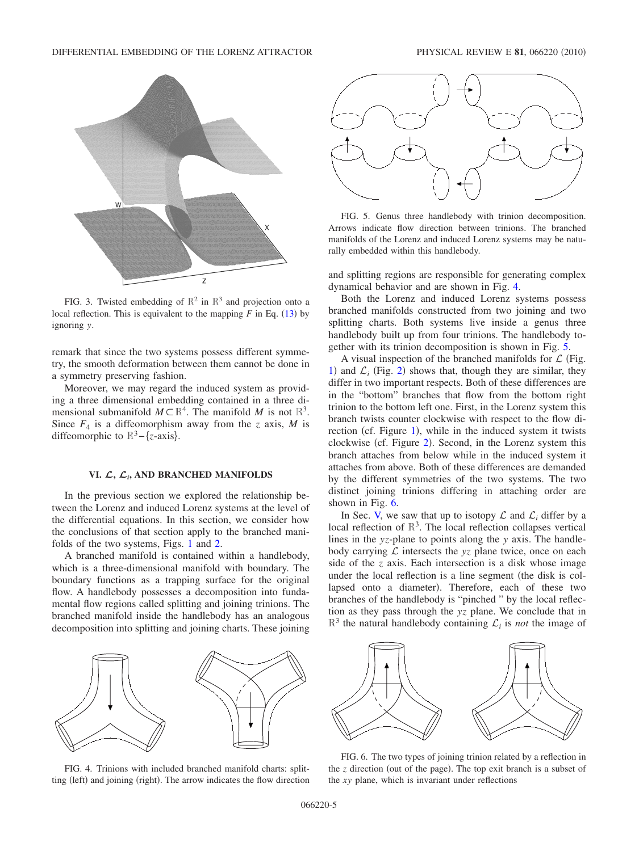<span id="page-5-1"></span>

FIG. 3. Twisted embedding of  $\mathbb{R}^2$  in  $\mathbb{R}^3$  and projection onto a local reflection. This is equivalent to the mapping  $F$  in Eq.  $(13)$  $(13)$  $(13)$  by ignoring *y*.

remark that since the two systems possess different symmetry, the smooth deformation between them cannot be done in a symmetry preserving fashion.

Moreover, we may regard the induced system as providing a three dimensional embedding contained in a three dimensional submanifold  $M \subset \mathbb{R}^4$ . The manifold M is not  $\mathbb{R}^3$ . Since  $F_4$  is a diffeomorphism away from the *z* axis, *M* is diffeomorphic to R<sup>3</sup>-{*z*-axis}.

# **VI.** *L***,** *Li***, AND BRANCHED MANIFOLDS**

<span id="page-5-0"></span>In the previous section we explored the relationship between the Lorenz and induced Lorenz systems at the level of the differential equations. In this section, we consider how the conclusions of that section apply to the branched manifolds of the two systems, Figs. [1](#page-2-2) and [2.](#page-2-3)

A branched manifold is contained within a handlebody, which is a three-dimensional manifold with boundary. The boundary functions as a trapping surface for the original flow. A handlebody possesses a decomposition into fundamental flow regions called splitting and joining trinions. The branched manifold inside the handlebody has an analogous decomposition into splitting and joining charts. These joining

<span id="page-5-2"></span>

FIG. 4. Trinions with included branched manifold charts: splitting (left) and joining (right). The arrow indicates the flow direction

<span id="page-5-3"></span>

FIG. 5. Genus three handlebody with trinion decomposition. Arrows indicate flow direction between trinions. The branched manifolds of the Lorenz and induced Lorenz systems may be naturally embedded within this handlebody.

and splitting regions are responsible for generating complex dynamical behavior and are shown in Fig. [4.](#page-5-2)

Both the Lorenz and induced Lorenz systems possess branched manifolds constructed from two joining and two splitting charts. Both systems live inside a genus three handlebody built up from four trinions. The handlebody together with its trinion decomposition is shown in Fig. [5.](#page-5-3)

A visual inspection of the branched manifolds for  $\mathcal L$  (Fig. [1](#page-2-2)) and  $\mathcal{L}_i$  (Fig. [2](#page-2-3)) shows that, though they are similar, they differ in two important respects. Both of these differences are in the "bottom" branches that flow from the bottom right trinion to the bottom left one. First, in the Lorenz system this branch twists counter clockwise with respect to the flow di-rection (cf. Figure [1](#page-2-2)), while in the induced system it twists clockwise (cf. Figure [2](#page-2-3)). Second, in the Lorenz system this branch attaches from below while in the induced system it attaches from above. Both of these differences are demanded by the different symmetries of the two systems. The two distinct joining trinions differing in attaching order are shown in Fig. [6.](#page-5-4)

In Sec. [V,](#page-4-1) we saw that up to isotopy  $\mathcal L$  and  $\mathcal L_i$  differ by a local reflection of  $\mathbb{R}^3$ . The local reflection collapses vertical lines in the *yz*-plane to points along the *y* axis. The handlebody carrying  $\mathcal L$  intersects the  $yz$  plane twice, once on each side of the *z* axis. Each intersection is a disk whose image under the local reflection is a line segment (the disk is collapsed onto a diameter). Therefore, each of these two branches of the handlebody is "pinched " by the local reflection as they pass through the *yz* plane. We conclude that in  $\mathbb{R}^3$  the natural handlebody containing  $\mathcal{L}_i$  is *not* the image of

<span id="page-5-4"></span>

FIG. 6. The two types of joining trinion related by a reflection in the *z* direction (out of the page). The top exit branch is a subset of the *xy* plane, which is invariant under reflections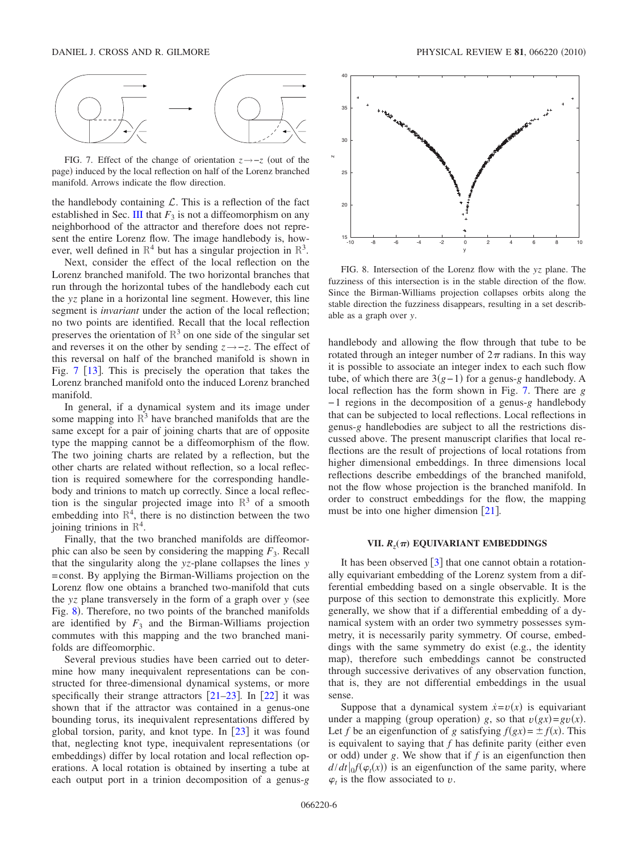<span id="page-6-1"></span>

FIG. 7. Effect of the change of orientation  $z \rightarrow -z$  (out of the page) induced by the local reflection on half of the Lorenz branched manifold. Arrows indicate the flow direction.

the handlebody containing  $\mathcal{L}$ . This is a reflection of the fact established in Sec. [III](#page-2-1) that  $F_3$  is not a diffeomorphism on any neighborhood of the attractor and therefore does not represent the entire Lorenz flow. The image handlebody is, however, well defined in  $\mathbb{R}^4$  but has a singular projection in  $\mathbb{R}^3$ .

Next, consider the effect of the local reflection on the Lorenz branched manifold. The two horizontal branches that run through the horizontal tubes of the handlebody each cut the *yz* plane in a horizontal line segment. However, this line segment is *invariant* under the action of the local reflection; no two points are identified. Recall that the local reflection preserves the orientation of  $\mathbb{R}^3$  on one side of the singular set and reverses it on the other by sending *z*→−*z*. The effect of this reversal on half of the branched manifold is shown in Fig.  $7 \times 13$  $7 \times 13$  $7 \times 13$ . This is precisely the operation that takes the Lorenz branched manifold onto the induced Lorenz branched manifold.

In general, if a dynamical system and its image under some mapping into  $\mathbb{R}^3$  have branched manifolds that are the same except for a pair of joining charts that are of opposite type the mapping cannot be a diffeomorphism of the flow. The two joining charts are related by a reflection, but the other charts are related without reflection, so a local reflection is required somewhere for the corresponding handlebody and trinions to match up correctly. Since a local reflection is the singular projected image into  $\mathbb{R}^3$  of a smooth embedding into  $\mathbb{R}^4$ , there is no distinction between the two joining trinions in  $\mathbb{R}^4$ .

Finally, that the two branched manifolds are diffeomorphic can also be seen by considering the mapping  $F_3$ . Recall that the singularity along the *yz*-plane collapses the lines *y* =const. By applying the Birman-Williams projection on the Lorenz flow one obtains a branched two-manifold that cuts the *yz* plane transversely in the form of a graph over *y* (see Fig. [8](#page-6-2)). Therefore, no two points of the branched manifolds are identified by  $F_3$  and the Birman-Williams projection commutes with this mapping and the two branched manifolds are diffeomorphic.

Several previous studies have been carried out to determine how many inequivalent representations can be constructed for three-dimensional dynamical systems, or more specifically their strange attractors  $[21-23]$  $[21-23]$  $[21-23]$ . In  $[22]$  $[22]$  $[22]$  it was shown that if the attractor was contained in a genus-one bounding torus, its inequivalent representations differed by global torsion, parity, and knot type. In  $\lceil 23 \rceil$  $\lceil 23 \rceil$  $\lceil 23 \rceil$  it was found that, neglecting knot type, inequivalent representations (or embeddings) differ by local rotation and local reflection operations. A local rotation is obtained by inserting a tube at each output port in a trinion decomposition of a genus-*g*

<span id="page-6-2"></span>

FIG. 8. Intersection of the Lorenz flow with the *yz* plane. The fuzziness of this intersection is in the stable direction of the flow. Since the Birman-Williams projection collapses orbits along the stable direction the fuzziness disappears, resulting in a set describable as a graph over *y*.

handlebody and allowing the flow through that tube to be rotated through an integer number of  $2\pi$  radians. In this way it is possible to associate an integer index to each such flow tube, of which there are  $3(g-1)$  for a genus-*g* handlebody. A local reflection has the form shown in Fig. [7.](#page-6-1) There are *g* − 1 regions in the decomposition of a genus-*g* handlebody that can be subjected to local reflections. Local reflections in genus-*g* handlebodies are subject to all the restrictions discussed above. The present manuscript clarifies that local reflections are the result of projections of local rotations from higher dimensional embeddings. In three dimensions local reflections describe embeddings of the branched manifold, not the flow whose projection is the branched manifold. In order to construct embeddings for the flow, the mapping must be into one higher dimension  $\lceil 21 \rceil$  $\lceil 21 \rceil$  $\lceil 21 \rceil$ .

# **VII.** *Rz***(**-**) EQUIVARIANT EMBEDDINGS**

<span id="page-6-0"></span>It has been observed  $\lceil 3 \rceil$  $\lceil 3 \rceil$  $\lceil 3 \rceil$  that one cannot obtain a rotationally equivariant embedding of the Lorenz system from a differential embedding based on a single observable. It is the purpose of this section to demonstrate this explicitly. More generally, we show that if a differential embedding of a dynamical system with an order two symmetry possesses symmetry, it is necessarily parity symmetry. Of course, embeddings with the same symmetry do exist (e.g., the identity map), therefore such embeddings cannot be constructed through successive derivatives of any observation function, that is, they are not differential embeddings in the usual sense.

Suppose that a dynamical system  $\dot{x} = v(x)$  is equivariant under a mapping (group operation) g, so that  $v(gx)=gv(x)$ . Let *f* be an eigenfunction of *g* satisfying  $f(gx) = \pm f(x)$ . This is equivalent to saying that  $f$  has definite parity (either even or odd) under  $g$ . We show that if  $f$  is an eigenfunction then  $d/dt$   $\left| \int_0^t (\varphi_t(x)) \right|$  is an eigenfunction of the same parity, where  $\varphi_t$  is the flow associated to *v*.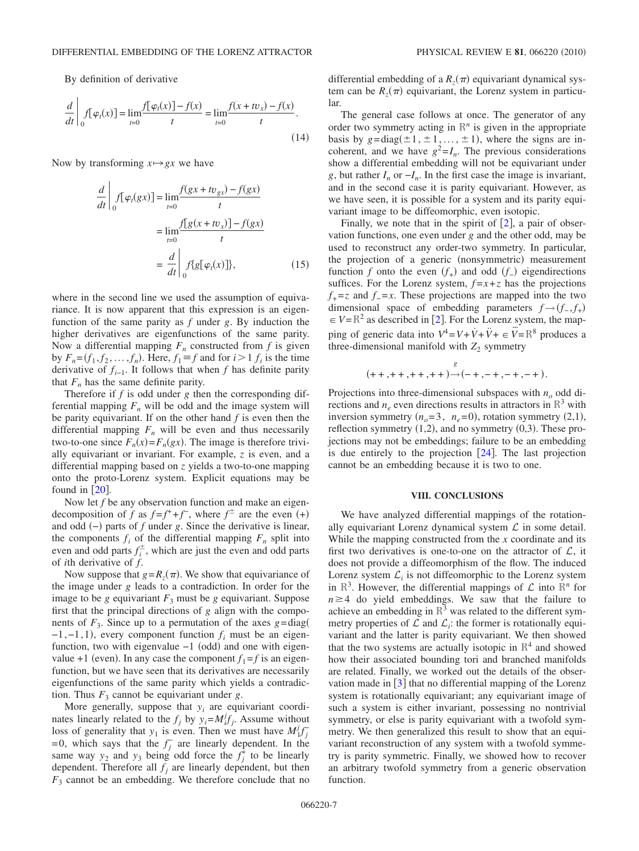By definition of derivative

$$
\frac{d}{dt} \left| \int_{0}^{t} f[\varphi_{t}(x)] = \lim_{t=0} \frac{f[\varphi_{t}(x)] - f(x)}{t} = \lim_{t=0} \frac{f(x + tv_{x}) - f(x)}{t}.
$$
\n(14)

Now by transforming  $x \mapsto gx$  we have

$$
\frac{d}{dt}\Big|_{0} f[\varphi_t(gx)] = \lim_{t=0} \frac{f(gx + tv_{gx}) - f(gx)}{t}
$$

$$
= \lim_{t=0} \frac{f[g(x + tv_x)] - f(gx)}{t}
$$

$$
= \frac{d}{dt}\Big|_{0} f\{g[\varphi_t(x)]\}, \tag{15}
$$

where in the second line we used the assumption of equivariance. It is now apparent that this expression is an eigenfunction of the same parity as *f* under *g*. By induction the higher derivatives are eigenfunctions of the same parity. Now a differential mapping  $F_n$  constructed from  $f$  is given by  $F_n = (f_1, f_2, \dots, f_n)$ . Here,  $f_1 \equiv f$  and for  $i > 1$   $f_i$  is the time derivative of  $f_{i-1}$ . It follows that when *f* has definite parity that  $F_n$  has the same definite parity.

Therefore if *f* is odd under *g* then the corresponding differential mapping  $F_n$  will be odd and the image system will be parity equivariant. If on the other hand *f* is even then the differential mapping  $F_n$  will be even and thus necessarily two-to-one since  $F_n(x) = F_n(gx)$ . The image is therefore trivially equivariant or invariant. For example, *z* is even, and a differential mapping based on *z* yields a two-to-one mapping onto the proto-Lorenz system. Explicit equations may be found in  $\lceil 20 \rceil$  $\lceil 20 \rceil$  $\lceil 20 \rceil$ .

Now let *f* be any observation function and make an eigendecomposition of *f* as  $f=f^++f^-$ , where  $f^{\pm}$  are the even  $(+)$ and odd (-) parts of *f* under *g*. Since the derivative is linear, the components  $f_i$  of the differential mapping  $F_n$  split into even and odd parts  $f_i^{\pm}$ , which are just the even and odd parts of *i*th derivative of *f*.

Now suppose that  $g = R_z(\pi)$ . We show that equivariance of the image under *g* leads to a contradiction. In order for the image to be *g* equivariant  $F_3$  must be *g* equivariant. Suppose first that the principal directions of *g* align with the components of  $F_3$ . Since up to a permutation of the axes  $g = diag($  $-1, -1, 1$ ), every component function  $f_i$  must be an eigenfunction, two with eigenvalue -1 (odd) and one with eigenvalue +1 (even). In any case the component  $f_1 = f$  is an eigenfunction, but we have seen that its derivatives are necessarily eigenfunctions of the same parity which yields a contradiction. Thus  $F_3$  cannot be equivariant under *g*.

More generally, suppose that  $y_i$  are equivariant coordinates linearly related to the  $f_j$  by  $y_i = M_i^j f_j$ . Assume without loss of generality that  $y_1$  is even. Then we must have  $M_1^j f_j^{\dagger}$ = 0, which says that the  $f_j^-$  are linearly dependent. In the same way  $y_2$  and  $y_3$  being odd force the  $f_j^{\dagger}$  to be linearly dependent. Therefore all  $f_i$  are linearly dependent, but then  $F_3$  cannot be an embedding. We therefore conclude that no

differential embedding of a  $R_z(\pi)$  equivariant dynamical system can be  $R_z(\pi)$  equivariant, the Lorenz system in particular.

The general case follows at once. The generator of any order two symmetry acting in  $\mathbb{R}^n$  is given in the appropriate basis by  $g = diag(\pm 1, \pm 1, \ldots, \pm 1)$ , where the signs are incoherent, and we have  $g^2 = I_n$ . The previous considerations show a differential embedding will not be equivariant under *g*, but rather  $I_n$  or  $-I_n$ . In the first case the image is invariant, and in the second case it is parity equivariant. However, as we have seen, it is possible for a system and its parity equivariant image to be diffeomorphic, even isotopic.

Finally, we note that in the spirit of  $[2]$  $[2]$  $[2]$ , a pair of observation functions, one even under *g* and the other odd, may be used to reconstruct any order-two symmetry. In particular, the projection of a generic (nonsymmetric) measurement function *f* onto the even  $(f_{+})$  and odd  $(f_{-})$  eigendirections suffices. For the Lorenz system,  $f = x + z$  has the projections  $f_{+}$ =*z* and  $f_{-}$ =*x*. These projections are mapped into the two dimensional space of embedding parameters  $f \rightarrow (f_-, f_+)$  $\epsilon \in V = \mathbb{R}^2$  $\epsilon \in V = \mathbb{R}^2$  as described in [2]. For the Lorenz system, the mapping of generic data into  $V^4 = V + \dot{V} + \ddot{V} + \epsilon \ddot{V} = \mathbb{R}^8$  produces a three-dimensional manifold with  $Z_2$  symmetry

$$
(++,++,++,++){\overset{\scriptscriptstyle g}\rightarrow}(-+,-+,-+,-+).
$$

Projections into three-dimensional subspaces with  $n<sub>o</sub>$  odd directions and  $n_e$  even directions results in attractors in  $\mathbb{R}^3$  with inversion symmetry  $(n<sub>o</sub>=3, n<sub>e</sub>=0)$ , rotation symmetry  $(2,1)$ , reflection symmetry  $(1,2)$ , and no symmetry  $(0,3)$ . These projections may not be embeddings; failure to be an embedding is due entirely to the projection  $[24]$  $[24]$  $[24]$ . The last projection cannot be an embedding because it is two to one.

## **VIII. CONCLUSIONS**

<span id="page-7-0"></span>We have analyzed differential mappings of the rotationally equivariant Lorenz dynamical system  $\mathcal L$  in some detail. While the mapping constructed from the *x* coordinate and its first two derivatives is one-to-one on the attractor of  $\mathcal{L}$ , it does not provide a diffeomorphism of the flow. The induced Lorenz system  $\mathcal{L}_i$  is not diffeomorphic to the Lorenz system in  $\mathbb{R}^3$ . However, the differential mappings of  $\mathcal L$  into  $\mathbb{R}^n$  for  $n \geq 4$  do yield embeddings. We saw that the failure to achieve an embedding in  $\mathbb{R}^3$  was related to the different symmetry properties of  $\mathcal L$  and  $\mathcal L_i$ : the former is rotationally equivariant and the latter is parity equivariant. We then showed that the two systems are actually isotopic in  $\mathbb{R}^4$  and showed how their associated bounding tori and branched manifolds are related. Finally, we worked out the details of the observation made in  $\lceil 3 \rceil$  $\lceil 3 \rceil$  $\lceil 3 \rceil$  that no differential mapping of the Lorenz system is rotationally equivariant; any equivariant image of such a system is either invariant, possessing no nontrivial symmetry, or else is parity equivariant with a twofold symmetry. We then generalized this result to show that an equivariant reconstruction of any system with a twofold symmetry is parity symmetric. Finally, we showed how to recover an arbitrary twofold symmetry from a generic observation function.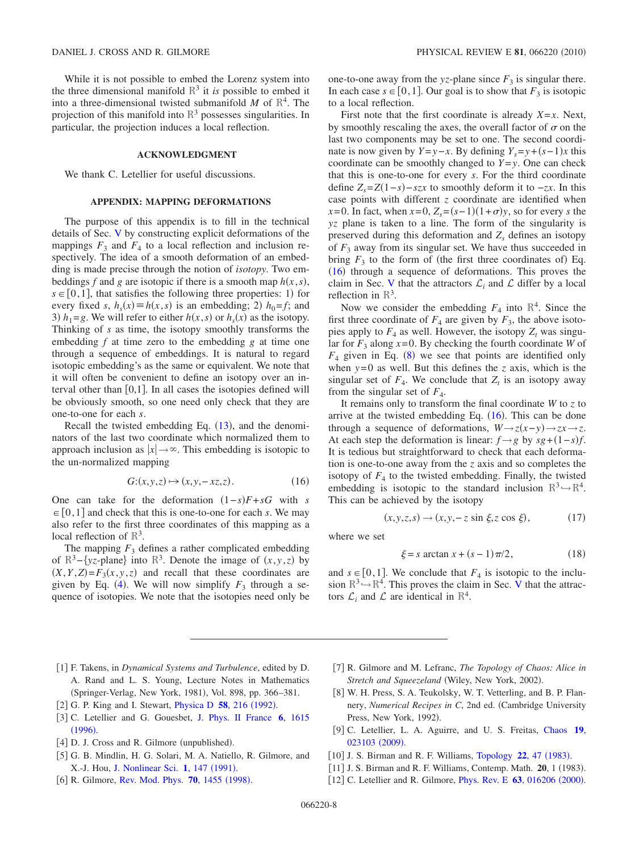While it is not possible to embed the Lorenz system into the three dimensional manifold  $\mathbb{R}^3$  it *is* possible to embed it into a three-dimensional twisted submanifold *M* of  $\mathbb{R}^4$ . The projection of this manifold into  $\mathbb{R}^3$  possesses singularities. In particular, the projection induces a local reflection.

#### **ACKNOWLEDGMENT**

We thank C. Letellier for useful discussions.

## **APPENDIX: MAPPING DEFORMATIONS**

The purpose of this appendix is to fill in the technical details of Sec. [V](#page-4-1) by constructing explicit deformations of the mappings  $F_3$  and  $F_4$  to a local reflection and inclusion respectively. The idea of a smooth deformation of an embedding is made precise through the notion of *isotopy*. Two embeddings *f* and *g* are isotopic if there is a smooth map  $h(x, s)$ ,  $s \in [0,1]$ , that satisfies the following three properties: 1) for every fixed *s*,  $h_s(x) \equiv h(x, s)$  is an embedding; 2)  $h_0 = f$ ; and 3)  $h_1 = g$ . We will refer to either  $h(x, s)$  or  $h_s(x)$  as the isotopy. Thinking of *s* as time, the isotopy smoothly transforms the embedding *f* at time zero to the embedding *g* at time one through a sequence of embeddings. It is natural to regard isotopic embedding's as the same or equivalent. We note that it will often be convenient to define an isotopy over an interval other than  $[0,1]$ . In all cases the isotopies defined will be obviously smooth, so one need only check that they are one-to-one for each *s*.

Recall the twisted embedding Eq.  $(13)$  $(13)$  $(13)$ , and the denominators of the last two coordinate which normalized them to approach inclusion as  $|x| \rightarrow \infty$ . This embedding is isotopic to the un-normalized mapping

$$
G:(x, y, z) \mapsto (x, y, -xz, z). \tag{16}
$$

<span id="page-8-12"></span>One can take for the deformation  $(1-s)F + sG$  with *s*  $\in [0,1]$  and check that this is one-to-one for each *s*. We may also refer to the first three coordinates of this mapping as a local reflection of  $\mathbb{R}^3$ .

The mapping  $F_3$  defines a rather complicated embedding of  $\mathbb{R}^3$ -{*yz*-plane} into  $\mathbb{R}^3$ . Denote the image of  $(x, y, z)$  by  $(X, Y, Z) = F_3(x, y, z)$  and recall that these coordinates are given by Eq. ([4](#page-3-0)). We will now simplify  $F_3$  through a sequence of isotopies. We note that the isotopies need only be one-to-one away from the *yz*-plane since  $F_3$  is singular there. In each case  $s \in [0,1]$ . Our goal is to show that  $F_3$  is isotopic to a local reflection.

First note that the first coordinate is already  $X=x$ . Next, by smoothly rescaling the axes, the overall factor of  $\sigma$  on the last two components may be set to one. The second coordinate is now given by  $Y = y - x$ . By defining  $Y_s = y + (s - 1)x$  this coordinate can be smoothly changed to  $Y = y$ . One can check that this is one-to-one for every *s*. For the third coordinate define  $Z_s = Z(1-s) - szx$  to smoothly deform it to  $-zx$ . In this case points with different *z* coordinate are identified when *x*=0. In fact, when  $x=0$ ,  $Z_s = (s-1)(1+\sigma)y$ , so for every *s* the *yz* plane is taken to a line. The form of the singularity is preserved during this deformation and  $Z<sub>s</sub>$  defines an isotopy of  $F_3$  away from its singular set. We have thus succeeded in bring  $F_3$  to the form of (the first three coordinates of) Eq.  $(16)$  $(16)$  $(16)$  through a sequence of deformations. This proves the claim in Sec. [V](#page-4-1) that the attractors  $\mathcal{L}_i$  and  $\mathcal L$  differ by a local reflection in  $\mathbb{R}^3$ .

Now we consider the embedding  $F_4$  into  $\mathbb{R}^4$ . Since the first three coordinate of  $F_4$  are given by  $F_3$ , the above isotopies apply to  $F_4$  as well. However, the isotopy  $Z_t$  was singular for  $F_3$  along  $x=0$ . By checking the fourth coordinate *W* of  $F_4$  given in Eq. ([8](#page-3-2)) we see that points are identified only when  $y=0$  as well. But this defines the *z* axis, which is the singular set of  $F_4$ . We conclude that  $Z_t$  is an isotopy away from the singular set of  $F_4$ .

It remains only to transform the final coordinate *W* to *z* to arrive at the twisted embedding Eq.  $(16)$  $(16)$  $(16)$ . This can be done through a sequence of deformations,  $W \rightarrow z(x-y) \rightarrow zx \rightarrow z$ . At each step the deformation is linear:  $f \rightarrow g$  by  $sg + (1 - s)f$ . It is tedious but straightforward to check that each deformation is one-to-one away from the *z* axis and so completes the isotopy of  $F_4$  to the twisted embedding. Finally, the twisted embedding is isotopic to the standard inclusion  $\mathbb{R}^3 \rightarrow \mathbb{R}^4$ . This can be achieved by the isotopy

$$
(x, y, z, s) \rightarrow (x, y, -z \sin \xi, z \cos \xi), \tag{17}
$$

where we set

$$
\xi = s \arctan x + (s - 1)\pi/2,
$$
\n(18)

and  $s \in [0,1]$ . We conclude that  $F_4$  is isotopic to the inclusion  $\mathbb{R}^3 \rightarrow \mathbb{R}^4$ . This proves the claim in Sec. [V](#page-4-1) that the attractors  $\mathcal{L}_i$  and  $\mathcal{L}$  are identical in  $\mathbb{R}^4$ .

- <span id="page-8-0"></span>1 F. Takens, in *Dynamical Systems and Turbulence*, edited by D. A. Rand and L. S. Young, Lecture Notes in Mathematics (Springer-Verlag, New York, 1981), Vol. 898, pp. 366-381.
- <span id="page-8-1"></span>[2] G. P. King and I. Stewart, *[Physica D](http://dx.doi.org/10.1016/0167-2789(92)90110-9)* 58, 216 (1992).
- <span id="page-8-2"></span>3 C. Letellier and G. Gouesbet, [J. Phys. II France](http://dx.doi.org/10.1051/jp2:1996152) **6**, 1615  $(1996).$  $(1996).$  $(1996).$
- <span id="page-8-3"></span>[4] D. J. Cross and R. Gilmore (unpublished).
- <span id="page-8-4"></span>5 G. B. Mindlin, H. G. Solari, M. A. Natiello, R. Gilmore, and X.-J. Hou, [J. Nonlinear Sci.](http://dx.doi.org/10.1007/BF01209064) 1, 147 (1991).
- <span id="page-8-5"></span>[6] R. Gilmore, [Rev. Mod. Phys.](http://dx.doi.org/10.1103/RevModPhys.70.1455) **70**, 1455 (1998).
- <span id="page-8-6"></span>7 R. Gilmore and M. Lefranc, *The Topology of Chaos: Alice in* Stretch and Squeezeland (Wiley, New York, 2002).
- <span id="page-8-7"></span>[8] W. H. Press, S. A. Teukolsky, W. T. Vetterling, and B. P. Flannery, *Numerical Recipes in C*, 2nd ed. (Cambridge University Press, New York, 1992).
- <span id="page-8-8"></span>9 C. Letellier, L. A. Aguirre, and U. S. Freitas, [Chaos](http://dx.doi.org/10.1063/1.3125705) **19**, [023103](http://dx.doi.org/10.1063/1.3125705) (2009).
- <span id="page-8-9"></span>[10] J. S. Birman and R. F. Williams, [Topology](http://dx.doi.org/10.1016/0040-9383(83)90045-9) 22, 47 (1983).
- <span id="page-8-10"></span>[11] J. S. Birman and R. F. Williams, Contemp. Math. 20, 1 (1983).
- <span id="page-8-11"></span>[12] C. Letellier and R. Gilmore, *[Phys. Rev. E](http://dx.doi.org/10.1103/PhysRevE.63.016206)* 63, 016206 (2000).